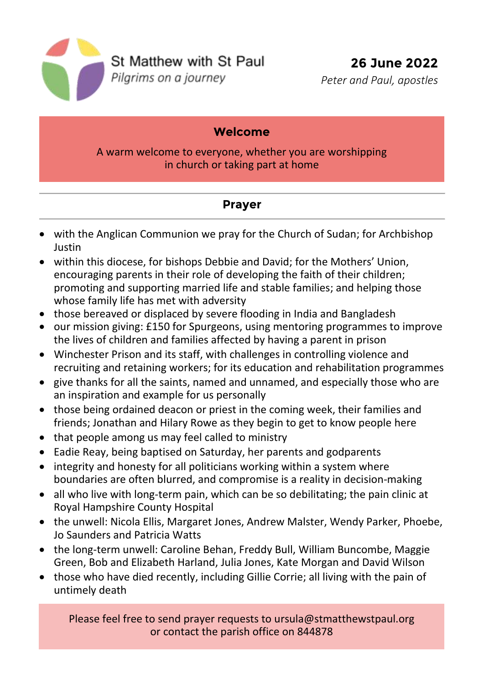

#### **Welcome**

#### A warm welcome to everyone, whether you are worshipping in church or taking part at home

#### **Prayer**

- with the Anglican Communion we pray for the Church of Sudan; for Archbishop Justin
- within this diocese, for bishops Debbie and David; for the Mothers' Union, encouraging parents in their role of developing the faith of their children; promoting and supporting married life and stable families; and helping those whose family life has met with adversity
- those bereaved or displaced by severe flooding in India and Bangladesh
- our mission giving: £150 for Spurgeons, using mentoring programmes to improve the lives of children and families affected by having a parent in prison
- Winchester Prison and its staff, with challenges in controlling violence and recruiting and retaining workers; for its education and rehabilitation programmes
- give thanks for all the saints, named and unnamed, and especially those who are an inspiration and example for us personally
- those being ordained deacon or priest in the coming week, their families and friends; Jonathan and Hilary Rowe as they begin to get to know people here
- that people among us may feel called to ministry
- Eadie Reay, being baptised on Saturday, her parents and godparents
- integrity and honesty for all politicians working within a system where boundaries are often blurred, and compromise is a reality in decision-making
- all who live with long-term pain, which can be so debilitating; the pain clinic at Royal Hampshire County Hospital
- the unwell: Nicola Ellis, Margaret Jones, Andrew Malster, Wendy Parker, Phoebe, Jo Saunders and Patricia Watts
- the long-term unwell: Caroline Behan, Freddy Bull, William Buncombe, Maggie Green, Bob and Elizabeth Harland, Julia Jones, Kate Morgan and David Wilson
- those who have died recently, including Gillie Corrie; all living with the pain of untimely death

Please feel free to send prayer requests to ursula@stmatthewstpaul.org or contact the parish office on 844878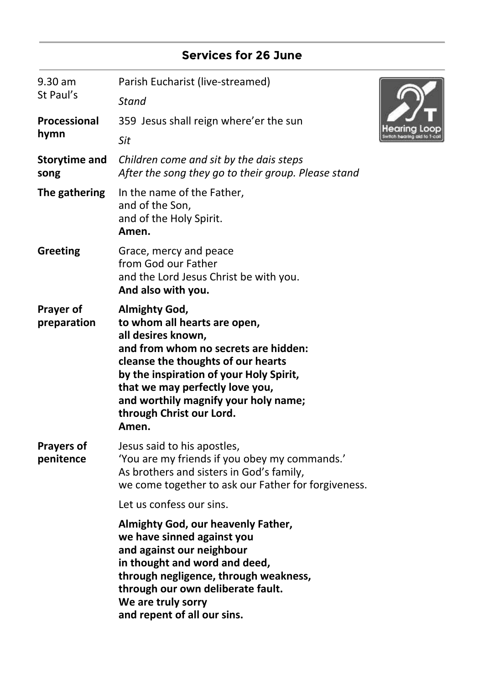# **Services for 26 June**

oop

| $9.30$ am<br>St Paul's          | Parish Eucharist (live-streamed)                                                                                                                                                                                                                                                                                    |  |
|---------------------------------|---------------------------------------------------------------------------------------------------------------------------------------------------------------------------------------------------------------------------------------------------------------------------------------------------------------------|--|
|                                 | <b>Stand</b>                                                                                                                                                                                                                                                                                                        |  |
| Processional<br>hymn            | 359 Jesus shall reign where' er the sun                                                                                                                                                                                                                                                                             |  |
|                                 | Sit                                                                                                                                                                                                                                                                                                                 |  |
| <b>Storytime and</b><br>song    | Children come and sit by the dais steps<br>After the song they go to their group. Please stand                                                                                                                                                                                                                      |  |
| The gathering                   | In the name of the Father,<br>and of the Son,<br>and of the Holy Spirit.<br>Amen.                                                                                                                                                                                                                                   |  |
| <b>Greeting</b>                 | Grace, mercy and peace<br>from God our Father<br>and the Lord Jesus Christ be with you.<br>And also with you.                                                                                                                                                                                                       |  |
| <b>Prayer of</b><br>preparation | <b>Almighty God,</b><br>to whom all hearts are open,<br>all desires known,<br>and from whom no secrets are hidden:<br>cleanse the thoughts of our hearts<br>by the inspiration of your Holy Spirit,<br>that we may perfectly love you,<br>and worthily magnify your holy name;<br>through Christ our Lord.<br>Amen. |  |
| <b>Prayers of</b><br>penitence  | Jesus said to his apostles,<br>'You are my friends if you obey my commands.'<br>As brothers and sisters in God's family,<br>we come together to ask our Father for forgiveness.                                                                                                                                     |  |
|                                 | Let us confess our sins.                                                                                                                                                                                                                                                                                            |  |
|                                 | Almighty God, our heavenly Father,<br>we have sinned against you<br>and against our neighbour<br>in thought and word and deed,<br>through negligence, through weakness,<br>through our own deliberate fault.<br>We are truly sorry<br>and repent of all our sins.                                                   |  |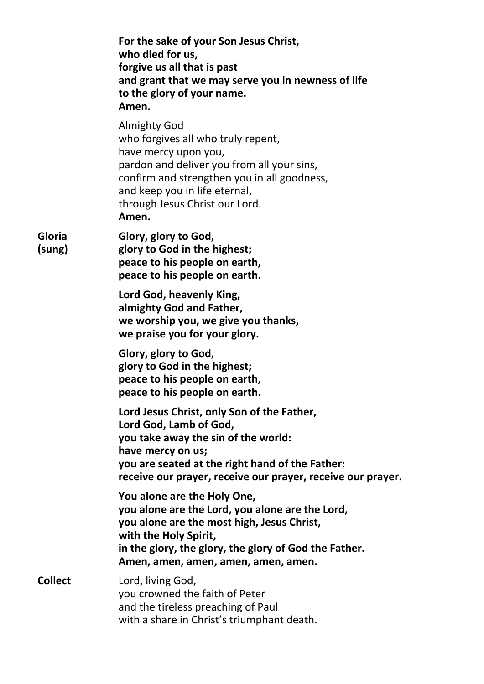|                  | For the sake of your Son Jesus Christ,<br>who died for us,<br>forgive us all that is past<br>and grant that we may serve you in newness of life<br>to the glory of your name.<br>Amen.                                                                     |
|------------------|------------------------------------------------------------------------------------------------------------------------------------------------------------------------------------------------------------------------------------------------------------|
|                  | <b>Almighty God</b><br>who forgives all who truly repent,<br>have mercy upon you,<br>pardon and deliver you from all your sins,<br>confirm and strengthen you in all goodness,<br>and keep you in life eternal,<br>through Jesus Christ our Lord.<br>Amen. |
| Gloria<br>(sung) | Glory, glory to God,<br>glory to God in the highest;<br>peace to his people on earth,<br>peace to his people on earth.                                                                                                                                     |
|                  | Lord God, heavenly King,<br>almighty God and Father,<br>we worship you, we give you thanks,<br>we praise you for your glory.                                                                                                                               |
|                  | Glory, glory to God,<br>glory to God in the highest;<br>peace to his people on earth,<br>peace to his people on earth.                                                                                                                                     |
|                  | Lord Jesus Christ, only Son of the Father,<br>Lord God, Lamb of God,<br>you take away the sin of the world:<br>have mercy on us;<br>you are seated at the right hand of the Father:<br>receive our prayer, receive our prayer, receive our prayer.         |
|                  | You alone are the Holy One,<br>you alone are the Lord, you alone are the Lord,<br>you alone are the most high, Jesus Christ,<br>with the Holy Spirit,<br>in the glory, the glory, the glory of God the Father.<br>Amen, amen, amen, amen, amen, amen.      |
| <b>Collect</b>   | Lord, living God,<br>you crowned the faith of Peter<br>and the tireless preaching of Paul<br>with a share in Christ's triumphant death.                                                                                                                    |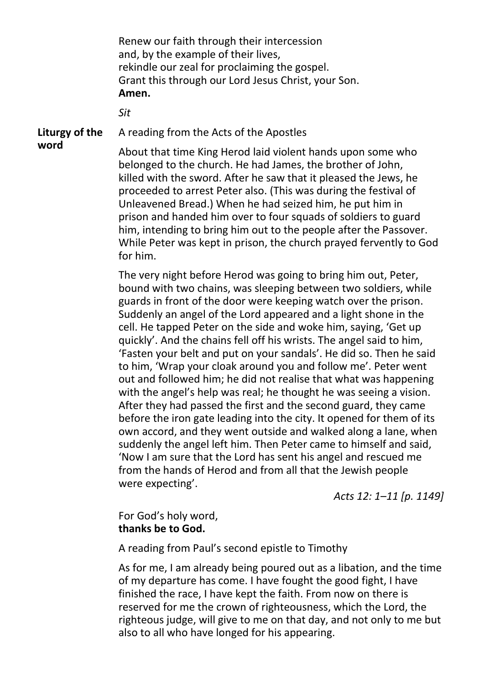Renew our faith through their intercession and, by the example of their lives, rekindle our zeal for proclaiming the gospel. Grant this through our Lord Jesus Christ, your Son. **Amen.**

*Sit*

**word**

**Liturgy of the**  A reading from the Acts of the Apostles

> About that time King Herod laid violent hands upon some who belonged to the church. He had James, the brother of John, killed with the sword. After he saw that it pleased the Jews, he proceeded to arrest Peter also. (This was during the festival of Unleavened Bread.) When he had seized him, he put him in prison and handed him over to four squads of soldiers to guard him, intending to bring him out to the people after the Passover. While Peter was kept in prison, the church prayed fervently to God for him.

> > The very night before Herod was going to bring him out, Peter, bound with two chains, was sleeping between two soldiers, while guards in front of the door were keeping watch over the prison. Suddenly an angel of the Lord appeared and a light shone in the cell. He tapped Peter on the side and woke him, saying, 'Get up quickly'. And the chains fell off his wrists. The angel said to him, 'Fasten your belt and put on your sandals'. He did so. Then he said to him, 'Wrap your cloak around you and follow me'. Peter went out and followed him; he did not realise that what was happening with the angel's help was real; he thought he was seeing a vision. After they had passed the first and the second guard, they came before the iron gate leading into the city. It opened for them of its own accord, and they went outside and walked along a lane, when suddenly the angel left him. Then Peter came to himself and said, 'Now I am sure that the Lord has sent his angel and rescued me from the hands of Herod and from all that the Jewish people were expecting'.

> > > *Acts 12: 1–11 [p. 1149]*

For God's holy word, **thanks be to God.**

A reading from Paul's second epistle to Timothy

As for me, I am already being poured out as a libation, and the time of my departure has come. I have fought the good fight, I have finished the race, I have kept the faith. From now on there is reserved for me the crown of righteousness, which the Lord, the righteous judge, will give to me on that day, and not only to me but also to all who have longed for his appearing.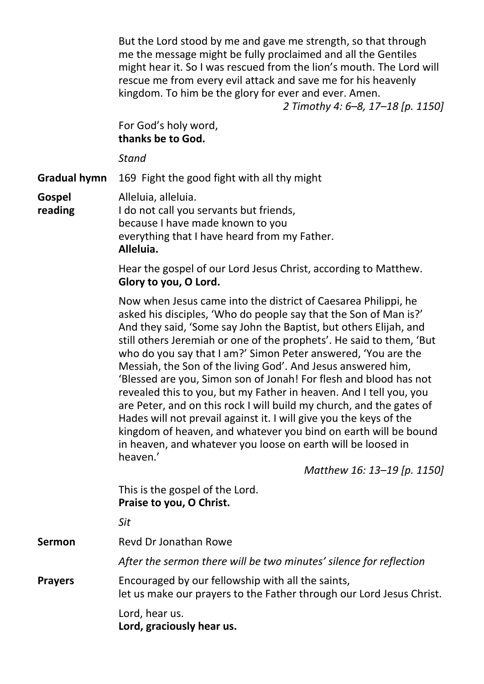|                          | But the Lord stood by me and gave me strength, so that through<br>me the message might be fully proclaimed and all the Gentiles<br>might hear it. So I was rescued from the lion's mouth. The Lord will<br>rescue me from every evil attack and save me for his heavenly<br>kingdom. To him be the glory for ever and ever. Amen.<br>2 Timothy 4: 6-8, 17-18 [p. 1150]                                                                                                                                                                                                                                                                                                                                                                                                                                                                                   |
|--------------------------|----------------------------------------------------------------------------------------------------------------------------------------------------------------------------------------------------------------------------------------------------------------------------------------------------------------------------------------------------------------------------------------------------------------------------------------------------------------------------------------------------------------------------------------------------------------------------------------------------------------------------------------------------------------------------------------------------------------------------------------------------------------------------------------------------------------------------------------------------------|
|                          | For God's holy word,<br>thanks be to God.                                                                                                                                                                                                                                                                                                                                                                                                                                                                                                                                                                                                                                                                                                                                                                                                                |
|                          | <b>Stand</b>                                                                                                                                                                                                                                                                                                                                                                                                                                                                                                                                                                                                                                                                                                                                                                                                                                             |
| <b>Gradual hymn</b>      | 169 Fight the good fight with all thy might                                                                                                                                                                                                                                                                                                                                                                                                                                                                                                                                                                                                                                                                                                                                                                                                              |
| <b>Gospel</b><br>reading | Alleluia, alleluia.<br>I do not call you servants but friends,<br>because I have made known to you<br>everything that I have heard from my Father.<br>Alleluia.                                                                                                                                                                                                                                                                                                                                                                                                                                                                                                                                                                                                                                                                                          |
|                          | Hear the gospel of our Lord Jesus Christ, according to Matthew.<br>Glory to you, O Lord.                                                                                                                                                                                                                                                                                                                                                                                                                                                                                                                                                                                                                                                                                                                                                                 |
|                          | Now when Jesus came into the district of Caesarea Philippi, he<br>asked his disciples, 'Who do people say that the Son of Man is?'<br>And they said, 'Some say John the Baptist, but others Elijah, and<br>still others Jeremiah or one of the prophets'. He said to them, 'But<br>who do you say that I am?' Simon Peter answered, 'You are the<br>Messiah, the Son of the living God'. And Jesus answered him,<br>'Blessed are you, Simon son of Jonah! For flesh and blood has not<br>revealed this to you, but my Father in heaven. And I tell you, you<br>are Peter, and on this rock I will build my church, and the gates of<br>Hades will not prevail against it. I will give you the keys of the<br>kingdom of heaven, and whatever you bind on earth will be bound<br>in heaven, and whatever you loose on earth will be loosed in<br>heaven.' |
|                          | Matthew 16: 13-19 [p. 1150]                                                                                                                                                                                                                                                                                                                                                                                                                                                                                                                                                                                                                                                                                                                                                                                                                              |
|                          | This is the gospel of the Lord.<br>Praise to you, O Christ.                                                                                                                                                                                                                                                                                                                                                                                                                                                                                                                                                                                                                                                                                                                                                                                              |
|                          | Sit                                                                                                                                                                                                                                                                                                                                                                                                                                                                                                                                                                                                                                                                                                                                                                                                                                                      |
| <b>Sermon</b>            | Revd Dr Jonathan Rowe                                                                                                                                                                                                                                                                                                                                                                                                                                                                                                                                                                                                                                                                                                                                                                                                                                    |
|                          | After the sermon there will be two minutes' silence for reflection                                                                                                                                                                                                                                                                                                                                                                                                                                                                                                                                                                                                                                                                                                                                                                                       |
| <b>Prayers</b>           | Encouraged by our fellowship with all the saints,<br>let us make our prayers to the Father through our Lord Jesus Christ.                                                                                                                                                                                                                                                                                                                                                                                                                                                                                                                                                                                                                                                                                                                                |
|                          | Lord, hear us.<br>Lord, graciously hear us.                                                                                                                                                                                                                                                                                                                                                                                                                                                                                                                                                                                                                                                                                                                                                                                                              |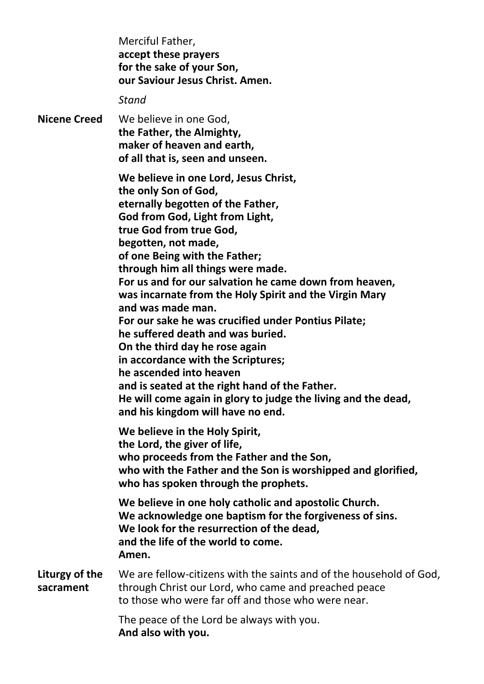|                             | Merciful Father,<br>accept these prayers<br>for the sake of your Son,<br>our Saviour Jesus Christ. Amen.                                                                                                                                                                                                                                                                                                                                                                                                                                                                                                                                                                                                                                                      |
|-----------------------------|---------------------------------------------------------------------------------------------------------------------------------------------------------------------------------------------------------------------------------------------------------------------------------------------------------------------------------------------------------------------------------------------------------------------------------------------------------------------------------------------------------------------------------------------------------------------------------------------------------------------------------------------------------------------------------------------------------------------------------------------------------------|
|                             | Stand                                                                                                                                                                                                                                                                                                                                                                                                                                                                                                                                                                                                                                                                                                                                                         |
| <b>Nicene Creed</b>         | We believe in one God,<br>the Father, the Almighty,<br>maker of heaven and earth,<br>of all that is, seen and unseen.                                                                                                                                                                                                                                                                                                                                                                                                                                                                                                                                                                                                                                         |
|                             | We believe in one Lord, Jesus Christ,<br>the only Son of God,<br>eternally begotten of the Father,<br>God from God, Light from Light,<br>true God from true God,<br>begotten, not made,<br>of one Being with the Father;<br>through him all things were made.<br>For us and for our salvation he came down from heaven,<br>was incarnate from the Holy Spirit and the Virgin Mary<br>and was made man.<br>For our sake he was crucified under Pontius Pilate;<br>he suffered death and was buried.<br>On the third day he rose again<br>in accordance with the Scriptures;<br>he ascended into heaven<br>and is seated at the right hand of the Father.<br>He will come again in glory to judge the living and the dead,<br>and his kingdom will have no end. |
|                             | We believe in the Holy Spirit,<br>the Lord, the giver of life,<br>who proceeds from the Father and the Son,<br>who with the Father and the Son is worshipped and glorified,<br>who has spoken through the prophets.                                                                                                                                                                                                                                                                                                                                                                                                                                                                                                                                           |
|                             | We believe in one holy catholic and apostolic Church.<br>We acknowledge one baptism for the forgiveness of sins.<br>We look for the resurrection of the dead,<br>and the life of the world to come.<br>Amen.                                                                                                                                                                                                                                                                                                                                                                                                                                                                                                                                                  |
| Liturgy of the<br>sacrament | We are fellow-citizens with the saints and of the household of God,<br>through Christ our Lord, who came and preached peace<br>to those who were far off and those who were near.                                                                                                                                                                                                                                                                                                                                                                                                                                                                                                                                                                             |
|                             | The peace of the Lord be always with you.                                                                                                                                                                                                                                                                                                                                                                                                                                                                                                                                                                                                                                                                                                                     |

**And also with you.**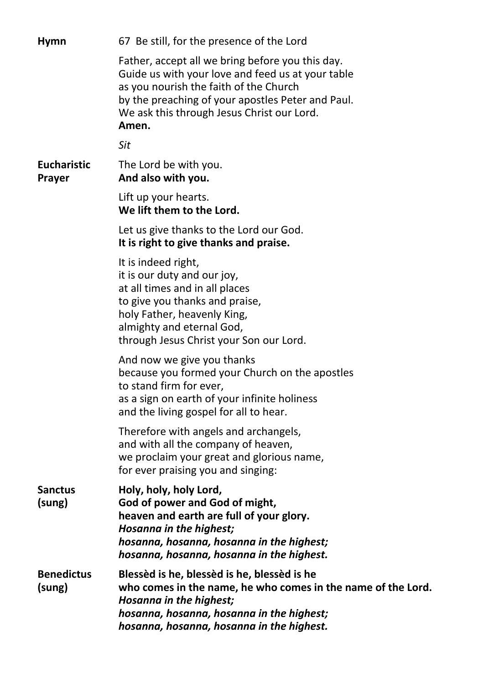| <b>Hymn</b>                         | 67 Be still, for the presence of the Lord                                                                                                                                                                                                                   |
|-------------------------------------|-------------------------------------------------------------------------------------------------------------------------------------------------------------------------------------------------------------------------------------------------------------|
|                                     | Father, accept all we bring before you this day.<br>Guide us with your love and feed us at your table<br>as you nourish the faith of the Church<br>by the preaching of your apostles Peter and Paul.<br>We ask this through Jesus Christ our Lord.<br>Amen. |
|                                     | Sit                                                                                                                                                                                                                                                         |
| <b>Eucharistic</b><br><b>Prayer</b> | The Lord be with you.<br>And also with you.                                                                                                                                                                                                                 |
|                                     | Lift up your hearts.<br>We lift them to the Lord.                                                                                                                                                                                                           |
|                                     | Let us give thanks to the Lord our God.<br>It is right to give thanks and praise.                                                                                                                                                                           |
|                                     | It is indeed right,<br>it is our duty and our joy,<br>at all times and in all places<br>to give you thanks and praise,<br>holy Father, heavenly King,<br>almighty and eternal God,<br>through Jesus Christ your Son our Lord.                               |
|                                     | And now we give you thanks<br>because you formed your Church on the apostles<br>to stand firm for ever,<br>as a sign on earth of your infinite holiness<br>and the living gospel for all to hear.                                                           |
|                                     | Therefore with angels and archangels,<br>and with all the company of heaven,<br>we proclaim your great and glorious name,<br>for ever praising you and singing:                                                                                             |
| <b>Sanctus</b><br>(sung)            | Holy, holy, holy Lord,<br>God of power and God of might,<br>heaven and earth are full of your glory.<br>Hosanna in the highest;<br>hosanna, hosanna, hosanna in the highest;<br>hosanna, hosanna, hosanna in the highest.                                   |
| <b>Benedictus</b><br>(sung)         | Blessèd is he, blessèd is he, blessèd is he<br>who comes in the name, he who comes in the name of the Lord.<br>Hosanna in the highest;<br>hosanna, hosanna, hosanna in the highest;<br>hosanna, hosanna, hosanna in the highest.                            |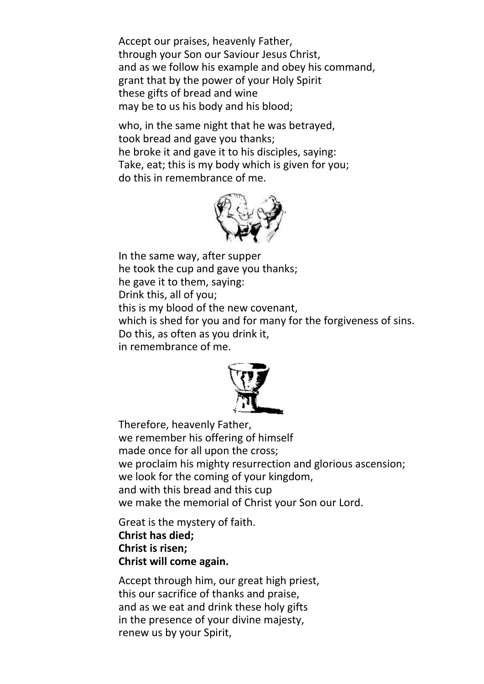Accept our praises, heavenly Father, through your Son our Saviour Jesus Christ, and as we follow his example and obey his command, grant that by the power of your Holy Spirit these gifts of bread and wine may be to us his body and his blood;

who, in the same night that he was betrayed, took bread and gave you thanks; he broke it and gave it to his disciples, saying: Take, eat; this is my body which is given for you; do this in remembrance of me.



In the same way, after supper he took the cup and gave you thanks; he gave it to them, saying: Drink this, all of you; this is my blood of the new covenant, which is shed for you and for many for the forgiveness of sins. Do this, as often as you drink it, in remembrance of me.



Therefore, heavenly Father, we remember his offering of himself made once for all upon the cross; we proclaim his mighty resurrection and glorious ascension; we look for the coming of your kingdom, and with this bread and this cup we make the memorial of Christ your Son our Lord.

Great is the mystery of faith. **Christ has died; Christ is risen; Christ will come again.**

Accept through him, our great high priest, this our sacrifice of thanks and praise, and as we eat and drink these holy gifts in the presence of your divine majesty, renew us by your Spirit,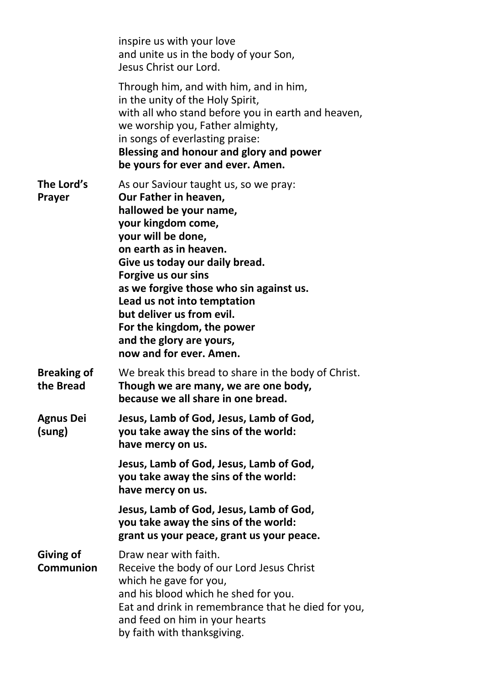|                                 | inspire us with your love<br>and unite us in the body of your Son,<br>Jesus Christ our Lord.                                                                                                                                                                                                                                                                                                                        |
|---------------------------------|---------------------------------------------------------------------------------------------------------------------------------------------------------------------------------------------------------------------------------------------------------------------------------------------------------------------------------------------------------------------------------------------------------------------|
|                                 | Through him, and with him, and in him,<br>in the unity of the Holy Spirit,<br>with all who stand before you in earth and heaven,<br>we worship you, Father almighty,<br>in songs of everlasting praise:<br>Blessing and honour and glory and power<br>be yours for ever and ever. Amen.                                                                                                                             |
| The Lord's<br>Prayer            | As our Saviour taught us, so we pray:<br>Our Father in heaven,<br>hallowed be your name,<br>your kingdom come,<br>your will be done,<br>on earth as in heaven.<br>Give us today our daily bread.<br>Forgive us our sins<br>as we forgive those who sin against us.<br>Lead us not into temptation<br>but deliver us from evil.<br>For the kingdom, the power<br>and the glory are yours,<br>now and for ever. Amen. |
| <b>Breaking of</b><br>the Bread | We break this bread to share in the body of Christ.<br>Though we are many, we are one body,<br>because we all share in one bread.                                                                                                                                                                                                                                                                                   |
| Agnus Dei<br>(sung)             | Jesus, Lamb of God, Jesus, Lamb of God,<br>you take away the sins of the world:<br>have mercy on us.                                                                                                                                                                                                                                                                                                                |
|                                 | Jesus, Lamb of God, Jesus, Lamb of God,<br>you take away the sins of the world:<br>have mercy on us.                                                                                                                                                                                                                                                                                                                |
|                                 | Jesus, Lamb of God, Jesus, Lamb of God,<br>you take away the sins of the world:<br>grant us your peace, grant us your peace.                                                                                                                                                                                                                                                                                        |
| <b>Giving of</b><br>Communion   | Draw near with faith.<br>Receive the body of our Lord Jesus Christ<br>which he gave for you,<br>and his blood which he shed for you.<br>Eat and drink in remembrance that he died for you,<br>and feed on him in your hearts<br>by faith with thanksgiving.                                                                                                                                                         |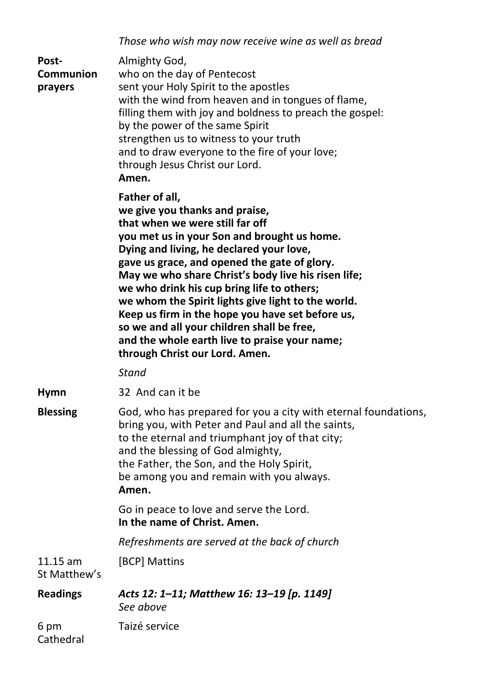|                                      | Those who wish may now receive wine as well as bread                                                                                                                                                                                                                                                                                                                                                                                                                                                                                                                           |
|--------------------------------------|--------------------------------------------------------------------------------------------------------------------------------------------------------------------------------------------------------------------------------------------------------------------------------------------------------------------------------------------------------------------------------------------------------------------------------------------------------------------------------------------------------------------------------------------------------------------------------|
| Post-<br><b>Communion</b><br>prayers | Almighty God,<br>who on the day of Pentecost<br>sent your Holy Spirit to the apostles<br>with the wind from heaven and in tongues of flame,<br>filling them with joy and boldness to preach the gospel:<br>by the power of the same Spirit<br>strengthen us to witness to your truth<br>and to draw everyone to the fire of your love;<br>through Jesus Christ our Lord.<br>Amen.                                                                                                                                                                                              |
|                                      | Father of all,<br>we give you thanks and praise,<br>that when we were still far off<br>you met us in your Son and brought us home.<br>Dying and living, he declared your love,<br>gave us grace, and opened the gate of glory.<br>May we who share Christ's body live his risen life;<br>we who drink his cup bring life to others;<br>we whom the Spirit lights give light to the world.<br>Keep us firm in the hope you have set before us,<br>so we and all your children shall be free,<br>and the whole earth live to praise your name;<br>through Christ our Lord. Amen. |
|                                      | <b>Stand</b>                                                                                                                                                                                                                                                                                                                                                                                                                                                                                                                                                                   |
| <b>Hymn</b>                          | 32 And can it be                                                                                                                                                                                                                                                                                                                                                                                                                                                                                                                                                               |
| <b>Blessing</b>                      | God, who has prepared for you a city with eternal foundations,<br>bring you, with Peter and Paul and all the saints,<br>to the eternal and triumphant joy of that city;<br>and the blessing of God almighty,<br>the Father, the Son, and the Holy Spirit,<br>be among you and remain with you always.<br>Amen.                                                                                                                                                                                                                                                                 |
|                                      | Go in peace to love and serve the Lord.<br>In the name of Christ. Amen.                                                                                                                                                                                                                                                                                                                                                                                                                                                                                                        |
|                                      | Refreshments are served at the back of church                                                                                                                                                                                                                                                                                                                                                                                                                                                                                                                                  |
| $11.15$ am<br>St Matthew's           | [BCP] Mattins                                                                                                                                                                                                                                                                                                                                                                                                                                                                                                                                                                  |
| <b>Readings</b>                      | Acts 12: 1-11; Matthew 16: 13-19 [p. 1149]<br>See above                                                                                                                                                                                                                                                                                                                                                                                                                                                                                                                        |
| 6 pm<br>Cathedral                    | Taizé service                                                                                                                                                                                                                                                                                                                                                                                                                                                                                                                                                                  |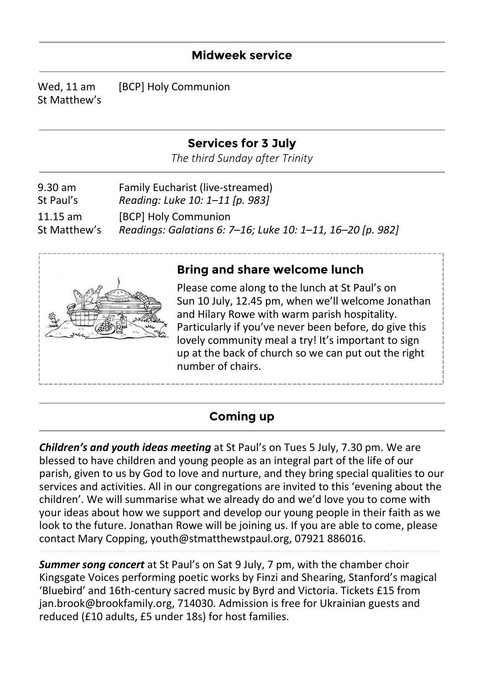### **Midweek service**

Wed, 11 am St Matthew's [BCP] Holy Communion

#### **Services for 3 July**

*The third Sunday after Trinity*

| 9.30 am      | <b>Family Eucharist (live-streamed)</b>                    |
|--------------|------------------------------------------------------------|
| St Paul's    | Reading: Luke 10: 1-11 [p. 983]                            |
| 11.15 am     | [BCP] Holy Communion                                       |
| St Matthew's | Readings: Galatians 6: 7–16; Luke 10: 1–11, 16–20 [p. 982] |



#### **Bring and share welcome lunch**

Please come along to the lunch at St Paul's on Sun 10 July, 12.45 pm, when we'll welcome Jonathan and Hilary Rowe with warm parish hospitality. Particularly if you've never been before, do give this lovely community meal a try! It's important to sign up at the back of church so we can put out the right number of chairs.

# **Coming up**

*Children's and youth ideas meeting* at St Paul's on Tues 5 July, 7.30 pm. We are blessed to have children and young people as an integral part of the life of our parish, given to us by God to love and nurture, and they bring special qualities to our services and activities. All in our congregations are invited to this 'evening about the children'. We will summarise what we already do and we'd love you to come with your ideas about how we support and develop our young people in their faith as we look to the future. Jonathan Rowe will be joining us. If you are able to come, please contact Mary Copping, youth@stmatthewstpaul.org, 07921 886016.

*Summer song concert* at St Paul's on Sat 9 July, 7 pm, with the chamber choir Kingsgate Voices performing poetic works by Finzi and Shearing, Stanford's magical 'Bluebird' and 16th-century sacred music by Byrd and Victoria. Tickets £15 from jan.brook@brookfamily.org, 714030. Admission is free for Ukrainian guests and reduced (£10 adults, £5 under 18s) for host families.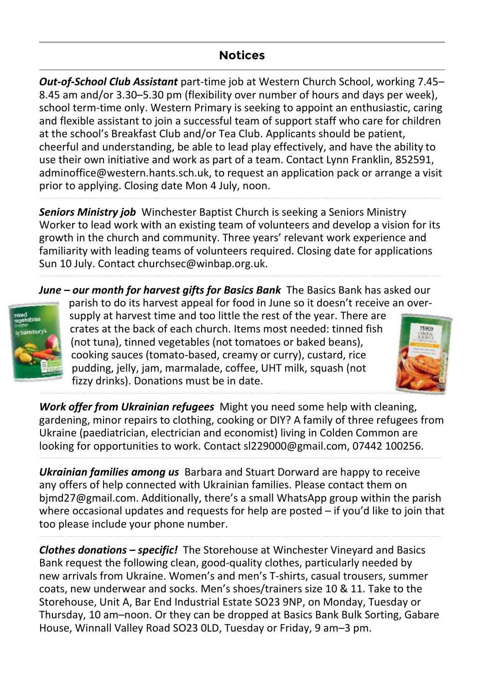# **Notices**

*Out-of-School Club Assistant* part-time job at Western Church School, working 7.45– 8.45 am and/or 3.30–5.30 pm (flexibility over number of hours and days per week), school term-time only. Western Primary is seeking to appoint an enthusiastic, caring and flexible assistant to join a successful team of support staff who care for children at the school's Breakfast Club and/or Tea Club. Applicants should be patient, cheerful and understanding, be able to lead play effectively, and have the ability to use their own initiative and work as part of a team. Contact Lynn Franklin, 852591, adminoffice@western.hants.sch.uk, to request an application pack or arrange a visit prior to applying. Closing date Mon 4 July, noon.

*Seniors Ministry job*Winchester Baptist Church is seeking a Seniors Ministry Worker to lead work with an existing team of volunteers and develop a vision for its growth in the church and community. Three years' relevant work experience and familiarity with leading teams of volunteers required. Closing date for applications Sun 10 July. Contact churchsec@winbap.org.uk.

*June – our month for harvest gifts for Basics Bank* The Basics Bank has asked our



parish to do its harvest appeal for food in June so it doesn't receive an oversupply at harvest time and too little the rest of the year. There are crates at the back of each church. Items most needed: tinned fish (not tuna), tinned vegetables (not tomatoes or baked beans), cooking sauces (tomato-based, creamy or curry), custard, rice pudding, jelly, jam, marmalade, coffee, UHT milk, squash (not fizzy drinks). Donations must be in date.



*Work offer from Ukrainian refugees* Might you need some help with cleaning, gardening, minor repairs to clothing, cooking or DIY? A family of three refugees from Ukraine (paediatrician, electrician and economist) living in Colden Common are looking for opportunities to work. Contact sl229000@gmail.com, 07442 100256.

*Ukrainian families among us* Barbara and Stuart Dorward are happy to receive any offers of help connected with Ukrainian families. Please contact them on bjmd27@gmail.com. Additionally, there's a small WhatsApp group within the parish where occasional updates and requests for help are posted – if you'd like to join that too please include your phone number.

*Clothes donations – specific!*The Storehouse at Winchester Vineyard and Basics Bank request the following clean, good-quality clothes, particularly needed by new arrivals from Ukraine. Women's and men's T-shirts, casual trousers, summer coats, new underwear and socks. Men's shoes/trainers size 10 & 11. Take to the Storehouse, Unit A, Bar End Industrial Estate SO23 9NP, on Monday, Tuesday or Thursday, 10 am–noon. Or they can be dropped at Basics Bank Bulk Sorting, Gabare House, Winnall Valley Road SO23 0LD, Tuesday or Friday, 9 am–3 pm.